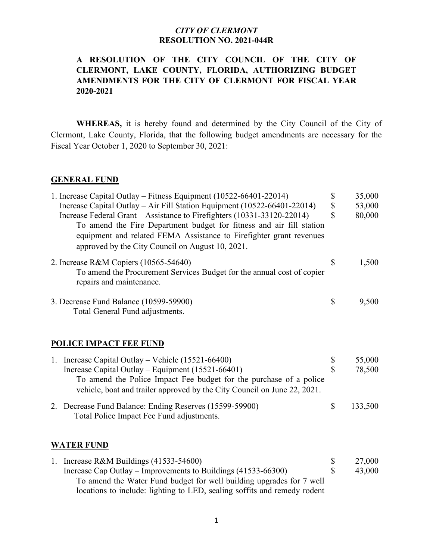## **A RESOLUTION OF THE CITY COUNCIL OF THE CITY OF CLERMONT, LAKE COUNTY, FLORIDA, AUTHORIZING BUDGET AMENDMENTS FOR THE CITY OF CLERMONT FOR FISCAL YEAR 2020-2021**

**WHEREAS,** it is hereby found and determined by the City Council of the City of Clermont, Lake County, Florida, that the following budget amendments are necessary for the Fiscal Year October 1, 2020 to September 30, 2021:

#### **GENERAL FUND**

| 1. Increase Capital Outlay – Fitness Equipment (10522-66401-22014)                                                                                                                                                                                                         | \$ | 35,000 |
|----------------------------------------------------------------------------------------------------------------------------------------------------------------------------------------------------------------------------------------------------------------------------|----|--------|
| Increase Capital Outlay – Air Fill Station Equipment (10522-66401-22014)                                                                                                                                                                                                   | \$ | 53,000 |
| Increase Federal Grant – Assistance to Firefighters (10331-33120-22014)<br>To amend the Fire Department budget for fitness and air fill station<br>equipment and related FEMA Assistance to Firefighter grant revenues<br>approved by the City Council on August 10, 2021. | \$ | 80,000 |
| 2. Increase R&M Copiers (10565-54640)<br>To amend the Procurement Services Budget for the annual cost of copier<br>repairs and maintenance.                                                                                                                                | S  | 1,500  |
| 3. Decrease Fund Balance (10599-59900)<br>Total General Fund adjustments.                                                                                                                                                                                                  | \$ | 9,500  |
| POLICE IMPACT FEE FUND                                                                                                                                                                                                                                                     |    |        |

| 1. Increase Capital Outlay – Vehicle $(15521-66400)$                                                                                           |    | 55,000  |
|------------------------------------------------------------------------------------------------------------------------------------------------|----|---------|
| Increase Capital Outlay – Equipment (15521-66401)                                                                                              |    | 78,500  |
| To amend the Police Impact Fee budget for the purchase of a police<br>vehicle, boat and trailer approved by the City Council on June 22, 2021. |    |         |
| 2. Decrease Fund Balance: Ending Reserves (15599-59900)<br>Total Police Impact Fee Fund adjustments.                                           | -S | 133,500 |

### **WATER FUND**

1. Increase R&M Buildings (41533-54600) <br>
Increase Cap Outlay – Improvements to Buildings (41533-66300) \$ 43.000 Increase Cap Outlay – Improvements to Buildings  $(41533-66300)$  \$ To amend the Water Fund budget for well building upgrades for 7 well locations to include: lighting to LED, sealing soffits and remedy rodent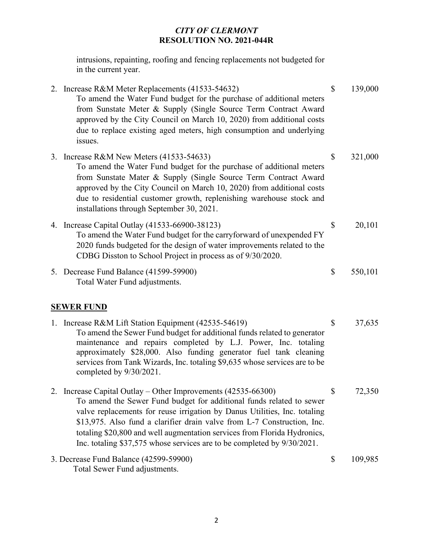intrusions, repainting, roofing and fencing replacements not budgeted for in the current year.

|                   | 2. Increase R&M Meter Replacements (41533-54632)<br>To amend the Water Fund budget for the purchase of additional meters<br>from Sunstate Meter & Supply (Single Source Term Contract Award<br>approved by the City Council on March 10, 2020) from additional costs<br>due to replace existing aged meters, high consumption and underlying<br>issues.                                                                                              | \$ | 139,000 |  |  |
|-------------------|------------------------------------------------------------------------------------------------------------------------------------------------------------------------------------------------------------------------------------------------------------------------------------------------------------------------------------------------------------------------------------------------------------------------------------------------------|----|---------|--|--|
|                   | 3. Increase R&M New Meters (41533-54633)<br>To amend the Water Fund budget for the purchase of additional meters<br>from Sunstate Mater & Supply (Single Source Term Contract Award<br>approved by the City Council on March 10, 2020) from additional costs<br>due to residential customer growth, replenishing warehouse stock and<br>installations through September 30, 2021.                                                                    | \$ | 321,000 |  |  |
|                   | 4. Increase Capital Outlay (41533-66900-38123)<br>To amend the Water Fund budget for the carryforward of unexpended FY<br>2020 funds budgeted for the design of water improvements related to the<br>CDBG Disston to School Project in process as of 9/30/2020.                                                                                                                                                                                      | \$ | 20,101  |  |  |
|                   | 5. Decrease Fund Balance (41599-59900)<br>Total Water Fund adjustments.                                                                                                                                                                                                                                                                                                                                                                              | \$ | 550,101 |  |  |
| <b>SEWER FUND</b> |                                                                                                                                                                                                                                                                                                                                                                                                                                                      |    |         |  |  |
|                   | 1. Increase R&M Lift Station Equipment (42535-54619)<br>To amend the Sewer Fund budget for additional funds related to generator<br>maintenance and repairs completed by L.J. Power, Inc. totaling<br>approximately \$28,000. Also funding generator fuel tank cleaning<br>services from Tank Wizards, Inc. totaling \$9,635 whose services are to be<br>completed by $9/30/2021$ .                                                                  | \$ | 37,635  |  |  |
|                   | 2. Increase Capital Outlay - Other Improvements (42535-66300)<br>To amend the Sewer Fund budget for additional funds related to sewer<br>valve replacements for reuse irrigation by Danus Utilities, Inc. totaling<br>\$13,975. Also fund a clarifier drain valve from L-7 Construction, Inc.<br>totaling \$20,800 and well augmentation services from Florida Hydronics,<br>Inc. totaling \$37,575 whose services are to be completed by 9/30/2021. | \$ | 72,350  |  |  |
|                   | 3. Decrease Fund Balance (42599-59900)<br>Total Sewer Fund adjustments.                                                                                                                                                                                                                                                                                                                                                                              | \$ | 109,985 |  |  |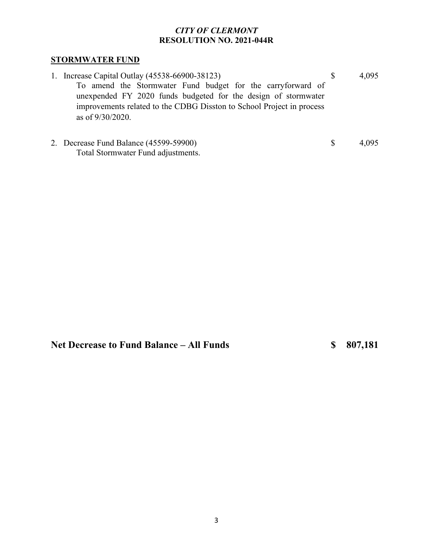## **STORMWATER FUND**

| 1. Increase Capital Outlay (45538-66900-38123)                                                                                                                                                                                | 4,095 |
|-------------------------------------------------------------------------------------------------------------------------------------------------------------------------------------------------------------------------------|-------|
| To amend the Stormwater Fund budget for the carryforward of<br>unexpended FY 2020 funds budgeted for the design of stormwater<br>improvements related to the CDBG Disston to School Project in process<br>as of $9/30/2020$ . |       |
| 2. Decrease Fund Balance (45599-59900)                                                                                                                                                                                        |       |

**Net Decrease to Fund Balance – All Funds \$ 807,181**

Total Stormwater Fund adjustments.